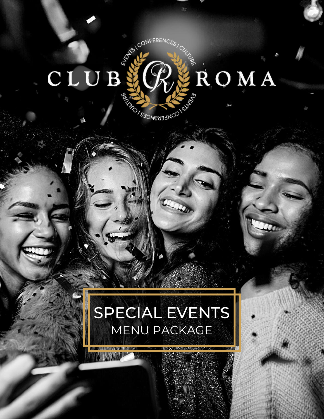# WATERENCES 系 ROMA CLUB **REAL PROPERTY ON SALES**

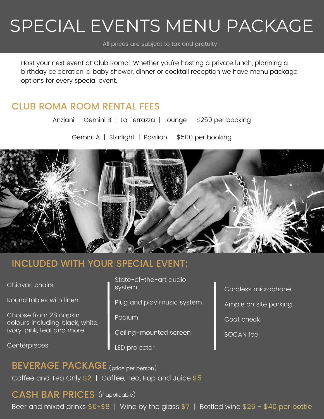# SPECIAL EVENTS MENU PACKAGE

All prices are subject to tax and gratuity

Host your next event at Club Roma! Whether you're hosting a private lunch, planning a birthday celebration, a baby shower, dinner or cocktail reception we have menu package options for every special event.

#### CLUB ROMA ROOM RENTAL FEES

Anziani | Gemini B | La Terrazza | Lounge \$250 per booking

Gemini A | Starlight | Pavilion \$500 per booking



### INCLUDED WITH YOUR SPECIAL EVENT:

Chiavari chairs

Round tables with linen

Choose from 28 napkin colours including black, white, ivory, pink, teal and more

**Centerpieces** 

State-of-the-art audio system

Plug and play music system

Podium

Ceiling-mounted screen

LED projector

Cordless microphone Ample on site parking Coat check

SOCAN fee

# BEVERAGE PACKAGE (price per person)

Coffee and Tea Only \$2 | Coffee, Tea, Pop and Juice \$5

### CASH BAR PRICES (if applicable)

Beer and mixed drinks  $$6-$8$  | Wine by the glass  $$7$  | Bottled wine  $$26 - $40$  per bottle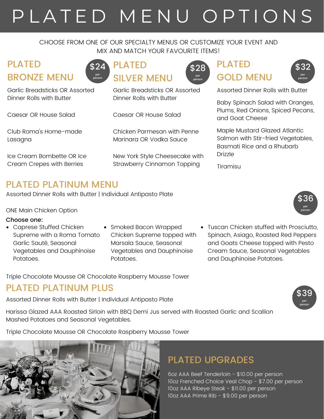# P L A T E D M E N U O P T I O N S

#### CHOOSE FROM ONE OF OUR SPECIALTY MENUS OR CUSTOMIZE YOUR EVENT AND MIX AND MATCH YOUR FAVOURITE ITEMS!

# PLATED BRONZE MENU

Garlic Breadsticks OR Assorted Dinner Rolls with Butter

Caesar OR House Salad

Club Roma's Home-made Lasagna

Ice Cream Bombette OR Ice Cream Crepes with Berries



Garlic Breadsticks OR Assorted Dinner Rolls with Butter

Caesar OR House Salad

Chicken Parmesan with Penne Marinara OR Vodka Sauce

New York Style Cheesecake with Strawberry Cinnamon Topping



# **PLATED** GOLD MENU



Assorted Dinner Rolls with Butter

Baby Spinach Salad with Oranges, Plums, Red Onions, Spiced Pecans, and Goat Cheese

Maple Mustard Glazed Atlantic Salmon with Stir-fried Vegetables, Basmati Rice and a Rhubarb Drizzle

Tiramisu

### PLATED PLATINUM MENU

Assorted Dinner Rolls with Butter | Individual Antipasto Plate

ONE Main Chicken Option

#### Choose one:

- Caprese Stuffed Chicken Supreme with a Roma Tomato Garlic Sauté, Seasonal Vegetables and Dauphinoise Potatoes.
- Smoked Bacon Wrapped Chicken Supreme topped with Marsala Sauce, Seasonal Vegetables and Dauphinoise Potatoes.
- Tuscan Chicken stuffed with Prosciutto, Spinach, Asiago, Roasted Red Peppers and Goats Cheese topped with Pesto Cream Sauce, Seasonal Vegetables and Dauphinoise Potatoes.

Triple Chocolate Mousse OR Chocolate Raspberry Mousse Tower

#### PLATED PLATINUM PLUS

Assorted Dinner Rolls with Butter | Individual Antipasto Plate

Harissa Glazed AAA Roasted Sirloin with BBQ Demi Jus served with Roasted Garlic and Scallion Mashed Potatoes and Seasonal Vegetables.

Triple Chocolate Mousse OR Chocolate Raspberry Mousse Tower



### PLATED UPGRADES

6oz AAA Beef Tenderloin - \$10.00 per person 10oz Frenched Choice Veal Chop - \$7.00 per person 10oz AAA Ribeye Steak - \$11.00 per person 10oz AAA Prime Rib - \$9.00 per person



\$39 per person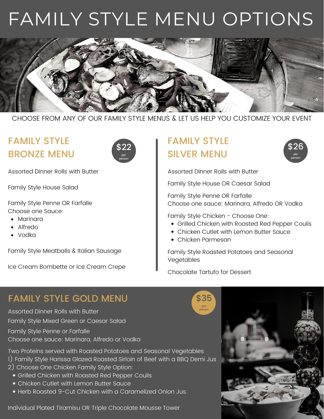# FAMILY STYLE MENU OPTIONS



CHOOSE FROM ANY OF OUR FAMILY STYLE MENUS & LET US HELP YOU CUSTOMIZE YOUR EVENT

# FAMILY STYLE BRONZE MENU



Assorted Dinner Rolls with Butter

Family Style House Salad

Family Style Penne OR Farfalle Choose one Sauce:

- Marinara
- Alfredo
- Vodka

Family Style Meatballs & Italian Sausage

Ice Cream Bombette or Ice Cream Crepe

# FAMILY STYLE SILVER MENU



Assorted Dinner Rolls with Butter

Family Style House OR Caesar Salad

Family Style Penne OR Farfalle Choose one sauce: Marinara, Alfredo OR Vodka

Family Style Chicken - Choose One:

- Grilled Chicken with Roasted Red Pepper Coulis
- Chicken Cutlet with Lemon Butter Sauce
- Chicken Parmesan

Family Style Roasted Potatoes and Seasonal Vegetables

Chocolate Tartufo for Dessert

\$35 per person

### FAMILY STYLE GOLD MENU

Assorted Dinner Rolls with Butter Family Style Mixed Green or Caesar Salad

Family Style Penne or Farfalle Choose one sauce: Marinara, Alfredo or Vodka

Two Proteins served with Roasted Potatoes and Seasonal Vegetables

- 1) Family Style Harissa Glazed Roasted Sirloin of Beef with a BBQ Demi Jus
- 2) Choose One Chicken Family Style Option:
	- Grilled Chicken with Roasted Red Pepper Coulis
	- Chicken Cutlet with Lemon Butter Sauce
	- Herb Roasted 9-Cut Chicken with a Caramelized Onion Jus

Individual Plated Tiramisu OR Triple Chocolate Mousse Tower

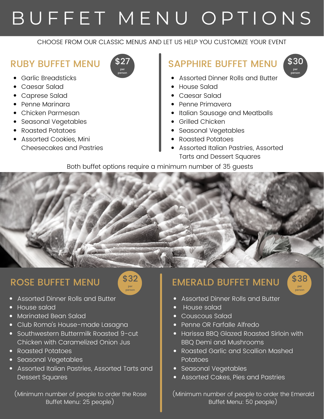# BUFFET MENU OPTIONS

#### CHOOSE FROM OUR CLASSIC MENUS AND LET US HELP YOU CUSTOMIZE YOUR EVENT

#### RUBY BUFFET MENU

- Garlic Breadsticks
- Caesar Salad
- Caprese Salad
- Penne Marinara
- Chicken Parmesan
- Seasonal Vegetables
- Roasted Potatoes
- Assorted Cookies, Mini Cheesecakes and Pastries

# SAPPHIRE BUFFET MENU



- Assorted Dinner Rolls and Butter
- House Salad
- Caesar Salad
- Penne Primavera
- Italian Sausage and Meatballs
- Grilled Chicken
- Seasonal Vegetables
- Roasted Potatoes
- Assorted Italian Pastries, Assorted Tarts and Dessert Squares

Both buffet options require a minimum number of 35 guests

### ROSE BUFFET MENU



- Assorted Dinner Rolls and Butter
- House salad
- Marinated Bean Salad
- Club Roma's House-made Lasagna
- Southwestern Buttermilk Roasted 9-cut Chicken with Caramelized Onion Jus
- Roasted Potatoes
- Seasonal Vegetables
- Assorted Italian Pastries, Assorted Tarts and Dessert Squares

(Minimum number of people to order the Rose Buffet Menu: 25 people)

## EMERALD BUFFET MENU



- Assorted Dinner Rolls and Butter
- House salad
- Couscous Salad
- Penne OR Farfalle Alfredo
- Harissa BBQ Glazed Roasted Sirloin with BBQ Demi and Mushrooms
- Roasted Garlic and Scallion Mashed **Potatoes**
- Seasonal Vegetables
- Assorted Cakes, Pies and Pastries

(Minimum number of people to order the Emerald Buffet Menu: 50 people)

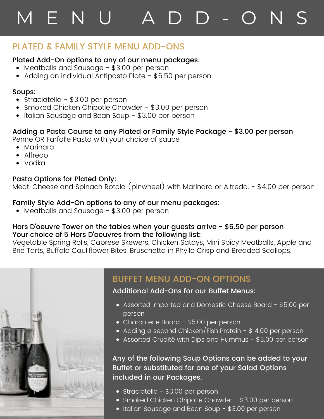# M E N U A D D - O N

### PLATED & FAMILY STYLE MENU ADD-ONS

#### Plated Add-On options to any of our menu packages:

- Meatballs and Sausage \$3.00 per person
- Adding an individual Antipasto Plate \$6.50 per person

#### Soups:

- Straciatella \$3.00 per person
- Smoked Chicken Chipotle Chowder \$3.00 per person
- Italian Sausage and Bean Soup \$3.00 per person

#### Adding a Pasta Course to any Plated or Family Style Package - \$3.00 per person

Penne OR Farfalle Pasta with your choice of sauce

- Marinara
- Alfredo
- Vodka

#### Pasta Options for Plated Only:

Meat, Cheese and Spinach Rotolo (pinwheel) with Marinara or Alfredo. - \$4.00 per person

#### Family Style Add-On options to any of our menu packages:

• Meatballs and Sausage - \$3.00 per person

#### Hors D'oeuvre Tower on the tables when your guests arrive - \$6.50 per person Your choice of 5 Hors D'oeuvres from the following list:

Vegetable Spring Rolls, Caprese Skewers, Chicken Satays, Mini Spicy Meatballs, Apple and Brie Tarts, Buffalo Cauliflower Bites, Bruschetta in Phyllo Crisp and Breaded Scallops.



#### BUFFET MENU ADD-ON OPTIONS

Additional Add-Ons for our Buffet Menus:

- Assorted Imported and Domestic Cheese Board \$5.00 per person
- Charcuterie Board \$5.00 per person
- Adding a second Chicken/Fish Protein \$ 4.00 per person
- Assorted Crudité with Dips and Hummus \$3.00 per person

#### Any of the following Soup Options can be added to your Buffet or substituted for one of your Salad Options included in our Packages.

- Straciatella \$3.00 per person
- Smoked Chicken Chipotle Chowder \$3.00 per person
- Italian Sausage and Bean Soup \$3.00 per person